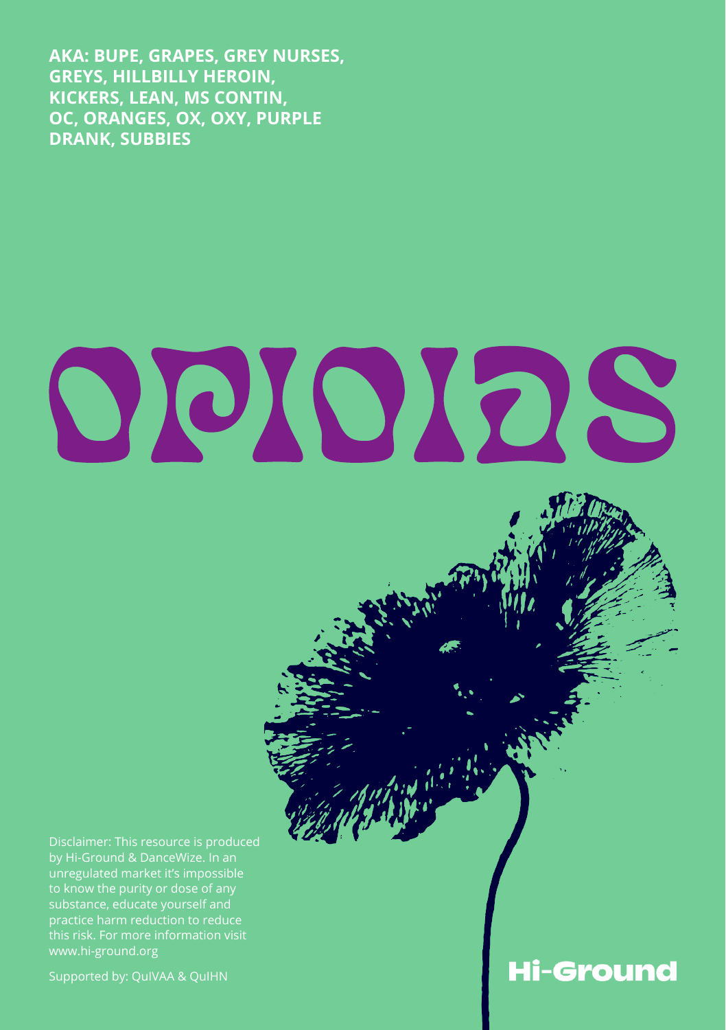**AKA: BUPE, GRAPES, GREY NURSES, GREYS, HILLBILLY HEROIN, KICKERS, LEAN, MS CONTIN, OC, ORANGES, OX, OXY, PURPLE DRANK, SUBBIES**

# OOIOIOS

Disclaimer: This resource is produced by Hi-Ground & DanceWize. In an unregulated market it's impossible to know the purity or dose of any substance, educate yourself and this risk. For more information visit www.hi-ground.org

Supported by: QuIVAA & QuIHN

# **Hi-Ground**